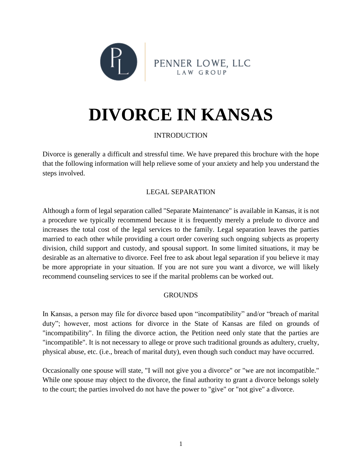

# **DIVORCE IN KANSAS**

# INTRODUCTION

Divorce is generally a difficult and stressful time. We have prepared this brochure with the hope that the following information will help relieve some of your anxiety and help you understand the steps involved.

# LEGAL SEPARATION

Although a form of legal separation called "Separate Maintenance" is available in Kansas, it is not a procedure we typically recommend because it is frequently merely a prelude to divorce and increases the total cost of the legal services to the family. Legal separation leaves the parties married to each other while providing a court order covering such ongoing subjects as property division, child support and custody, and spousal support. In some limited situations, it may be desirable as an alternative to divorce. Feel free to ask about legal separation if you believe it may be more appropriate in your situation. If you are not sure you want a divorce, we will likely recommend counseling services to see if the marital problems can be worked out.

## **GROUNDS**

In Kansas, a person may file for divorce based upon "incompatibility" and/or "breach of marital duty"; however, most actions for divorce in the State of Kansas are filed on grounds of "incompatibility". In filing the divorce action, the Petition need only state that the parties are "incompatible". It is not necessary to allege or prove such traditional grounds as adultery, cruelty, physical abuse, etc. (i.e., breach of marital duty), even though such conduct may have occurred.

Occasionally one spouse will state, "I will not give you a divorce" or "we are not incompatible." While one spouse may object to the divorce, the final authority to grant a divorce belongs solely to the court; the parties involved do not have the power to "give" or "not give" a divorce.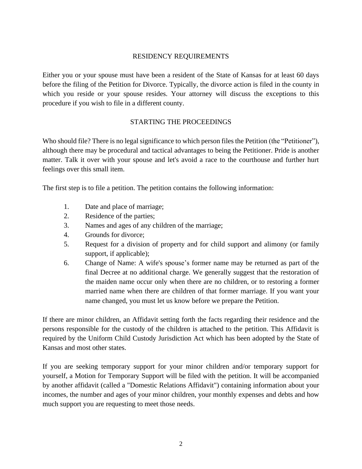### RESIDENCY REQUIREMENTS

Either you or your spouse must have been a resident of the State of Kansas for at least 60 days before the filing of the Petition for Divorce. Typically, the divorce action is filed in the county in which you reside or your spouse resides. Your attorney will discuss the exceptions to this procedure if you wish to file in a different county.

#### STARTING THE PROCEEDINGS

Who should file? There is no legal significance to which person files the Petition (the "Petitioner"), although there may be procedural and tactical advantages to being the Petitioner. Pride is another matter. Talk it over with your spouse and let's avoid a race to the courthouse and further hurt feelings over this small item.

The first step is to file a petition. The petition contains the following information:

- 1. Date and place of marriage;
- 2. Residence of the parties;
- 3. Names and ages of any children of the marriage;
- 4. Grounds for divorce;
- 5. Request for a division of property and for child support and alimony (or family support, if applicable);
- 6. Change of Name: A wife's spouse's former name may be returned as part of the final Decree at no additional charge. We generally suggest that the restoration of the maiden name occur only when there are no children, or to restoring a former married name when there are children of that former marriage. If you want your name changed, you must let us know before we prepare the Petition.

If there are minor children, an Affidavit setting forth the facts regarding their residence and the persons responsible for the custody of the children is attached to the petition. This Affidavit is required by the Uniform Child Custody Jurisdiction Act which has been adopted by the State of Kansas and most other states.

If you are seeking temporary support for your minor children and/or temporary support for yourself, a Motion for Temporary Support will be filed with the petition. It will be accompanied by another affidavit (called a "Domestic Relations Affidavit") containing information about your incomes, the number and ages of your minor children, your monthly expenses and debts and how much support you are requesting to meet those needs.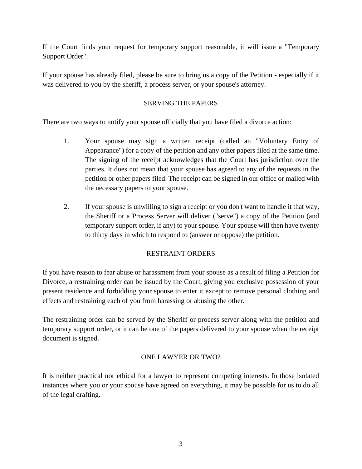If the Court finds your request for temporary support reasonable, it will issue a "Temporary Support Order".

If your spouse has already filed, please be sure to bring us a copy of the Petition - especially if it was delivered to you by the sheriff, a process server, or your spouse's attorney.

## SERVING THE PAPERS

There are two ways to notify your spouse officially that you have filed a divorce action:

- 1. Your spouse may sign a written receipt (called an "Voluntary Entry of Appearance") for a copy of the petition and any other papers filed at the same time. The signing of the receipt acknowledges that the Court has jurisdiction over the parties. It does not mean that your spouse has agreed to any of the requests in the petition or other papers filed. The receipt can be signed in our office or mailed with the necessary papers to your spouse.
- 2. If your spouse is unwilling to sign a receipt or you don't want to handle it that way, the Sheriff or a Process Server will deliver ("serve") a copy of the Petition (and temporary support order, if any) to your spouse. Your spouse will then have twenty to thirty days in which to respond to (answer or oppose) the petition.

# RESTRAINT ORDERS

If you have reason to fear abuse or harassment from your spouse as a result of filing a Petition for Divorce, a restraining order can be issued by the Court, giving you exclusive possession of your present residence and forbidding your spouse to enter it except to remove personal clothing and effects and restraining each of you from harassing or abusing the other.

The restraining order can be served by the Sheriff or process server along with the petition and temporary support order, or it can be one of the papers delivered to your spouse when the receipt document is signed.

# ONE LAWYER OR TWO?

It is neither practical nor ethical for a lawyer to represent competing interests. In those isolated instances where you or your spouse have agreed on everything, it may be possible for us to do all of the legal drafting.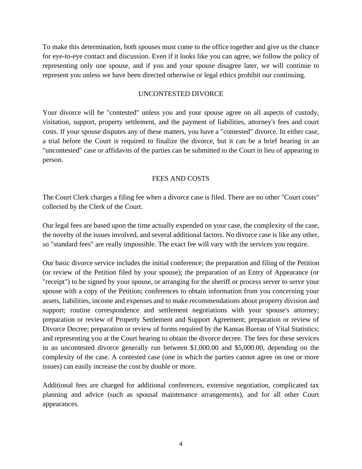To make this determination, both spouses must come to the office together and give us the chance for eye-to-eye contact and discussion. Even if it looks like you can agree, we follow the policy of representing only one spouse, and if you and your spouse disagree later, we will continue to represent you unless we have been directed otherwise or legal ethics prohibit our continuing.

#### UNCONTESTED DIVORCE

Your divorce will be "contested" unless you and your spouse agree on all aspects of custody, visitation, support, property settlement, and the payment of liabilities, attorney's fees and court costs. If your spouse disputes any of these matters, you have a "contested" divorce. In either case, a trial before the Court is required to finalize the divorce, but it can be a brief hearing in an "uncontested" case or affidavits of the parties can be submitted to the Court in lieu of appearing in person.

#### FEES AND COSTS

The Court Clerk charges a filing fee when a divorce case is filed. There are no other "Court costs" collected by the Clerk of the Court.

Our legal fees are based upon the time actually expended on your case, the complexity of the case, the novelty of the issues involved, and several additional factors. No divorce case is like any other, so "standard fees" are really impossible. The exact fee will vary with the services you require.

Our basic divorce service includes the initial conference; the preparation and filing of the Petition (or review of the Petition filed by your spouse); the preparation of an Entry of Appearance (or "receipt") to be signed by your spouse, or arranging for the sheriff or process server to serve your spouse with a copy of the Petition; conferences to obtain information from you concerning your assets, liabilities, income and expenses and to make recommendations about property division and support; routine correspondence and settlement negotiations with your spouse's attorney; preparation or review of Property Settlement and Support Agreement; preparation or review of Divorce Decree; preparation or review of forms required by the Kansas Bureau of Vital Statistics; and representing you at the Court hearing to obtain the divorce decree. The fees for these services in an uncontested divorce generally run between \$1,000.00 and \$5,000.00, depending on the complexity of the case. A contested case (one in which the parties cannot agree on one or more issues) can easily increase the cost by double or more.

Additional fees are charged for additional conferences, extensive negotiation, complicated tax planning and advice (such as spousal maintenance arrangements), and for all other Court appearances.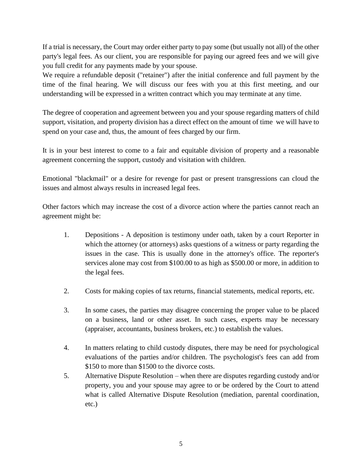If a trial is necessary, the Court may order either party to pay some (but usually not all) of the other party's legal fees. As our client, you are responsible for paying our agreed fees and we will give you full credit for any payments made by your spouse.

We require a refundable deposit ("retainer") after the initial conference and full payment by the time of the final hearing. We will discuss our fees with you at this first meeting, and our understanding will be expressed in a written contract which you may terminate at any time.

The degree of cooperation and agreement between you and your spouse regarding matters of child support, visitation, and property division has a direct effect on the amount of time we will have to spend on your case and, thus, the amount of fees charged by our firm.

It is in your best interest to come to a fair and equitable division of property and a reasonable agreement concerning the support, custody and visitation with children.

Emotional "blackmail" or a desire for revenge for past or present transgressions can cloud the issues and almost always results in increased legal fees.

Other factors which may increase the cost of a divorce action where the parties cannot reach an agreement might be:

- 1. Depositions A deposition is testimony under oath, taken by a court Reporter in which the attorney (or attorneys) asks questions of a witness or party regarding the issues in the case. This is usually done in the attorney's office. The reporter's services alone may cost from \$100.00 to as high as \$500.00 or more, in addition to the legal fees.
- 2. Costs for making copies of tax returns, financial statements, medical reports, etc.
- 3. In some cases, the parties may disagree concerning the proper value to be placed on a business, land or other asset. In such cases, experts may be necessary (appraiser, accountants, business brokers, etc.) to establish the values.
- 4. In matters relating to child custody disputes, there may be need for psychological evaluations of the parties and/or children. The psychologist's fees can add from \$150 to more than \$1500 to the divorce costs.
- 5. Alternative Dispute Resolution when there are disputes regarding custody and/or property, you and your spouse may agree to or be ordered by the Court to attend what is called Alternative Dispute Resolution (mediation, parental coordination, etc.)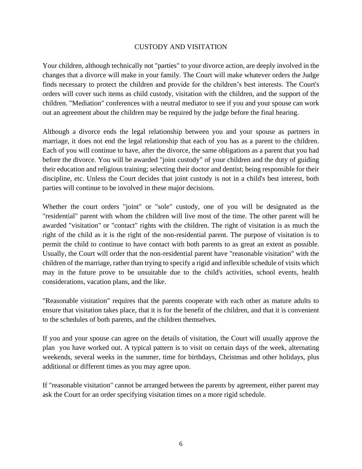#### CUSTODY AND VISITATION

Your children, although technically not "parties" to your divorce action, are deeply involved in the changes that a divorce will make in your family. The Court will make whatever orders the Judge finds necessary to protect the children and provide for the children's best interests. The Court's orders will cover such items as child custody, visitation with the children, and the support of the children. "Mediation" conferences with a neutral mediator to see if you and your spouse can work out an agreement about the children may be required by the judge before the final hearing.

Although a divorce ends the legal relationship between you and your spouse as partners in marriage, it does not end the legal relationship that each of you has as a parent to the children. Each of you will continue to have, after the divorce, the same obligations as a parent that you had before the divorce. You will be awarded "joint custody" of your children and the duty of guiding their education and religious training; selecting their doctor and dentist; being responsible for their discipline, etc. Unless the Court decides that joint custody is not in a child's best interest, both parties will continue to be involved in these major decisions.

Whether the court orders "joint" or "sole" custody, one of you will be designated as the "residential" parent with whom the children will live most of the time. The other parent will be awarded "visitation" or "contact" rights with the children. The right of visitation is as much the right of the child as it is the right of the non-residential parent. The purpose of visitation is to permit the child to continue to have contact with both parents to as great an extent as possible. Usually, the Court will order that the non-residential parent have "reasonable visitation" with the children of the marriage, rather than trying to specify a rigid and inflexible schedule of visits which may in the future prove to be unsuitable due to the child's activities, school events, health considerations, vacation plans, and the like.

"Reasonable visitation" requires that the parents cooperate with each other as mature adults to ensure that visitation takes place, that it is for the benefit of the children, and that it is convenient to the schedules of both parents, and the children themselves.

If you and your spouse can agree on the details of visitation, the Court will usually approve the plan you have worked out. A typical pattern is to visit on certain days of the week, alternating weekends, several weeks in the summer, time for birthdays, Christmas and other holidays, plus additional or different times as you may agree upon.

If "reasonable visitation" cannot be arranged between the parents by agreement, either parent may ask the Court for an order specifying visitation times on a more rigid schedule.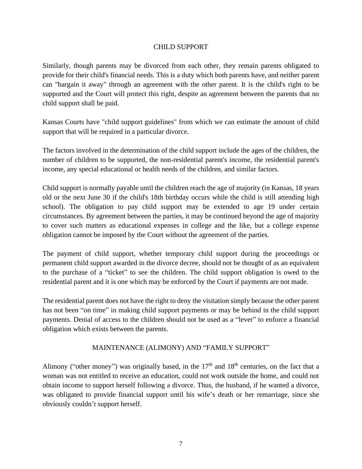### CHILD SUPPORT

Similarly, though parents may be divorced from each other, they remain parents obligated to provide for their child's financial needs. This is a duty which both parents have, and neither parent can "bargain it away" through an agreement with the other parent. It is the child's right to be supported and the Court will protect this right, despite an agreement between the parents that no child support shall be paid.

Kansas Courts have "child support guidelines" from which we can estimate the amount of child support that will be required in a particular divorce.

The factors involved in the determination of the child support include the ages of the children, the number of children to be supported, the non-residential parent's income, the residential parent's income, any special educational or health needs of the children, and similar factors.

Child support is normally payable until the children reach the age of majority (in Kansas, 18 years old or the next June 30 if the child's 18th birthday occurs while the child is still attending high school). The obligation to pay child support may be extended to age 19 under certain circumstances. By agreement between the parties, it may be continued beyond the age of majority to cover such matters as educational expenses in college and the like, but a college expense obligation cannot be imposed by the Court without the agreement of the parties.

The payment of child support, whether temporary child support during the proceedings or permanent child support awarded in the divorce decree, should not be thought of as an equivalent to the purchase of a "ticket" to see the children. The child support obligation is owed to the residential parent and it is one which may be enforced by the Court if payments are not made.

The residential parent does not have the right to deny the visitation simply because the other parent has not been "on time" in making child support payments or may be behind in the child support payments. Denial of access to the children should not be used as a "lever" to enforce a financial obligation which exists between the parents.

## MAINTENANCE (ALIMONY) AND "FAMILY SUPPORT"

Alimony ("other money") was originally based, in the  $17<sup>th</sup>$  and  $18<sup>th</sup>$  centuries, on the fact that a woman was not entitled to receive an education, could not work outside the home, and could not obtain income to support herself following a divorce. Thus, the husband, if he wanted a divorce, was obligated to provide financial support until his wife's death or her remarriage, since she obviously couldn't support herself.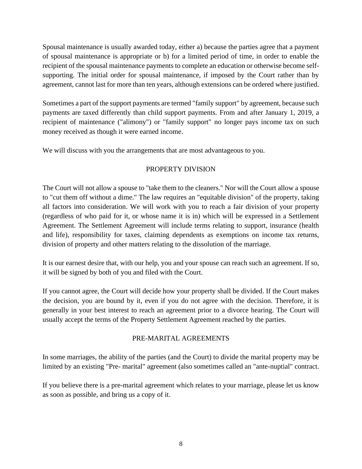Spousal maintenance is usually awarded today, either a) because the parties agree that a payment of spousal maintenance is appropriate or b) for a limited period of time, in order to enable the recipient of the spousal maintenance payments to complete an education or otherwise become selfsupporting. The initial order for spousal maintenance, if imposed by the Court rather than by agreement, cannot last for more than ten years, although extensions can be ordered where justified.

Sometimes a part of the support payments are termed "family support" by agreement, because such payments are taxed differently than child support payments. From and after January 1, 2019, a recipient of maintenance ("alimony") or "family support" no longer pays income tax on such money received as though it were earned income.

We will discuss with you the arrangements that are most advantageous to you.

## PROPERTY DIVISION

The Court will not allow a spouse to "take them to the cleaners." Nor will the Court allow a spouse to "cut them off without a dime." The law requires an "equitable division" of the property, taking all factors into consideration. We will work with you to reach a fair division of your property (regardless of who paid for it, or whose name it is in) which will be expressed in a Settlement Agreement. The Settlement Agreement will include terms relating to support, insurance (health and life), responsibility for taxes, claiming dependents as exemptions on income tax returns, division of property and other matters relating to the dissolution of the marriage.

It is our earnest desire that, with our help, you and your spouse can reach such an agreement. If so, it will be signed by both of you and filed with the Court.

If you cannot agree, the Court will decide how your property shall be divided. If the Court makes the decision, you are bound by it, even if you do not agree with the decision. Therefore, it is generally in your best interest to reach an agreement prior to a divorce hearing. The Court will usually accept the terms of the Property Settlement Agreement reached by the parties.

## PRE-MARITAL AGREEMENTS

In some marriages, the ability of the parties (and the Court) to divide the marital property may be limited by an existing "Pre- marital" agreement (also sometimes called an "ante-nuptial" contract.

If you believe there is a pre-marital agreement which relates to your marriage, please let us know as soon as possible, and bring us a copy of it.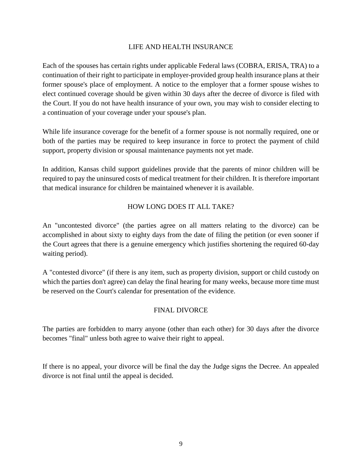#### LIFE AND HEALTH INSURANCE

Each of the spouses has certain rights under applicable Federal laws (COBRA, ERISA, TRA) to a continuation of their right to participate in employer-provided group health insurance plans at their former spouse's place of employment. A notice to the employer that a former spouse wishes to elect continued coverage should be given within 30 days after the decree of divorce is filed with the Court. If you do not have health insurance of your own, you may wish to consider electing to a continuation of your coverage under your spouse's plan.

While life insurance coverage for the benefit of a former spouse is not normally required, one or both of the parties may be required to keep insurance in force to protect the payment of child support, property division or spousal maintenance payments not yet made.

In addition, Kansas child support guidelines provide that the parents of minor children will be required to pay the uninsured costs of medical treatment for their children. It is therefore important that medical insurance for children be maintained whenever it is available.

## HOW LONG DOES IT ALL TAKE?

An "uncontested divorce" (the parties agree on all matters relating to the divorce) can be accomplished in about sixty to eighty days from the date of filing the petition (or even sooner if the Court agrees that there is a genuine emergency which justifies shortening the required 60-day waiting period).

A "contested divorce" (if there is any item, such as property division, support or child custody on which the parties don't agree) can delay the final hearing for many weeks, because more time must be reserved on the Court's calendar for presentation of the evidence.

## FINAL DIVORCE

The parties are forbidden to marry anyone (other than each other) for 30 days after the divorce becomes "final" unless both agree to waive their right to appeal.

If there is no appeal, your divorce will be final the day the Judge signs the Decree. An appealed divorce is not final until the appeal is decided.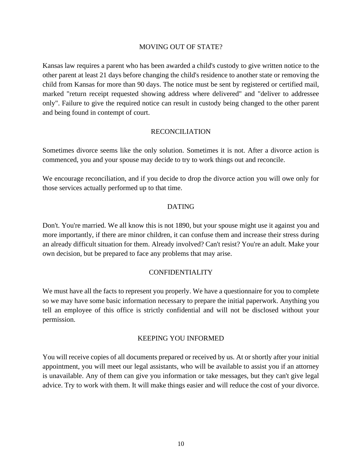#### MOVING OUT OF STATE?

Kansas law requires a parent who has been awarded a child's custody to give written notice to the other parent at least 21 days before changing the child's residence to another state or removing the child from Kansas for more than 90 days. The notice must be sent by registered or certified mail, marked "return receipt requested showing address where delivered" and "deliver to addressee only". Failure to give the required notice can result in custody being changed to the other parent and being found in contempt of court.

#### RECONCILIATION

Sometimes divorce seems like the only solution. Sometimes it is not. After a divorce action is commenced, you and your spouse may decide to try to work things out and reconcile.

We encourage reconciliation, and if you decide to drop the divorce action you will owe only for those services actually performed up to that time.

#### DATING

Don't. You're married. We all know this is not 1890, but your spouse might use it against you and more importantly, if there are minor children, it can confuse them and increase their stress during an already difficult situation for them. Already involved? Can't resist? You're an adult. Make your own decision, but be prepared to face any problems that may arise.

#### CONFIDENTIALITY

We must have all the facts to represent you properly. We have a questionnaire for you to complete so we may have some basic information necessary to prepare the initial paperwork. Anything you tell an employee of this office is strictly confidential and will not be disclosed without your permission.

#### KEEPING YOU INFORMED

You will receive copies of all documents prepared or received by us. At or shortly after your initial appointment, you will meet our legal assistants, who will be available to assist you if an attorney is unavailable. Any of them can give you information or take messages, but they can't give legal advice. Try to work with them. It will make things easier and will reduce the cost of your divorce.